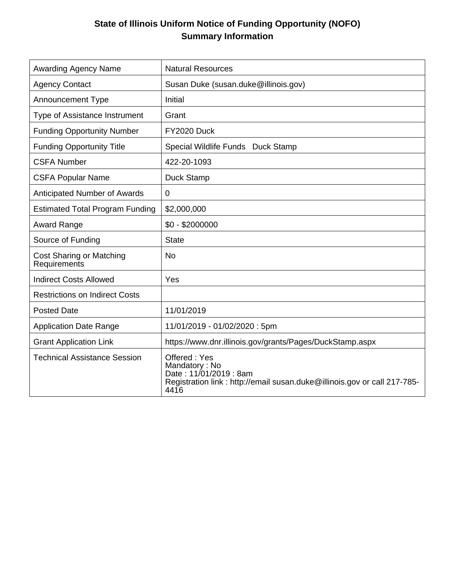# **State of Illinois Uniform Notice of Funding Opportunity (NOFO) Summary Information**

| <b>Awarding Agency Name</b>                     | <b>Natural Resources</b>                                                                                                                    |
|-------------------------------------------------|---------------------------------------------------------------------------------------------------------------------------------------------|
| <b>Agency Contact</b>                           | Susan Duke (susan.duke@illinois.gov)                                                                                                        |
| <b>Announcement Type</b>                        | Initial                                                                                                                                     |
| Type of Assistance Instrument                   | Grant                                                                                                                                       |
| <b>Funding Opportunity Number</b>               | FY2020 Duck                                                                                                                                 |
| <b>Funding Opportunity Title</b>                | Special Wildlife Funds Duck Stamp                                                                                                           |
| <b>CSFA Number</b>                              | 422-20-1093                                                                                                                                 |
| <b>CSFA Popular Name</b>                        | Duck Stamp                                                                                                                                  |
| <b>Anticipated Number of Awards</b>             | 0                                                                                                                                           |
| <b>Estimated Total Program Funding</b>          | \$2,000,000                                                                                                                                 |
| <b>Award Range</b>                              | $$0 - $2000000$                                                                                                                             |
| Source of Funding                               | <b>State</b>                                                                                                                                |
| <b>Cost Sharing or Matching</b><br>Requirements | No                                                                                                                                          |
| <b>Indirect Costs Allowed</b>                   | Yes                                                                                                                                         |
| <b>Restrictions on Indirect Costs</b>           |                                                                                                                                             |
| <b>Posted Date</b>                              | 11/01/2019                                                                                                                                  |
| <b>Application Date Range</b>                   | 11/01/2019 - 01/02/2020: 5pm                                                                                                                |
| <b>Grant Application Link</b>                   | https://www.dnr.illinois.gov/grants/Pages/DuckStamp.aspx                                                                                    |
| <b>Technical Assistance Session</b>             | Offered: Yes<br>Mandatory: No<br>Date: 11/01/2019: 8am<br>Registration link : http://email susan.duke@illinois.gov or call 217-785-<br>4416 |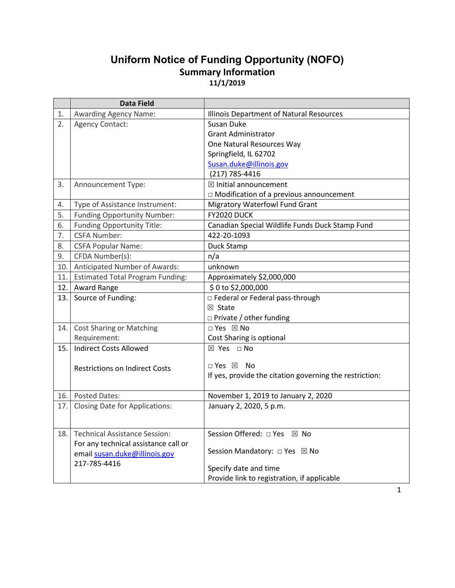# **Uniform Notice of Funding Opportunity (NOFO) Summary Information 11/1/2019**

|     | <b>Data Field</b>                       |                                                         |
|-----|-----------------------------------------|---------------------------------------------------------|
| 1.  | <b>Awarding Agency Name:</b>            | Illinois Department of Natural Resources                |
| 2.  | <b>Agency Contact:</b>                  | Susan Duke                                              |
|     |                                         | <b>Grant Administrator</b>                              |
|     |                                         | One Natural Resources Way                               |
|     |                                         | Springfield, IL 62702                                   |
|     |                                         | Susan.duke@illinois.gov                                 |
|     |                                         | (217) 785-4416                                          |
| 3.  | Announcement Type:                      | $\boxtimes$ Initial announcement                        |
|     |                                         | $\Box$ Modification of a previous announcement          |
| 4.  | Type of Assistance Instrument:          | <b>Migratory Waterfowl Fund Grant</b>                   |
| 5.  | Funding Opportunity Number:             | <b>FY2020 DUCK</b>                                      |
| 6.  | <b>Funding Opportunity Title:</b>       | Canadian Special Wildlife Funds Duck Stamp Fund         |
| 7.  | <b>CSFA Number:</b>                     | 422-20-1093                                             |
| 8.  | <b>CSFA Popular Name:</b>               | Duck Stamp                                              |
| 9.  | CFDA Number(s):                         | n/a                                                     |
| 10. | Anticipated Number of Awards:           | unknown                                                 |
| 11. | <b>Estimated Total Program Funding:</b> | Approximately \$2,000,000                               |
| 12. | <b>Award Range</b>                      | \$0 to \$2,000,000                                      |
| 13. | Source of Funding:                      | □ Federal or Federal pass-through                       |
|     |                                         | ⊠ State                                                 |
|     |                                         | $\Box$ Private / other funding                          |
| 14. | <b>Cost Sharing or Matching</b>         | □ Yes ⊠ No                                              |
|     | Requirement:                            | Cost Sharing is optional                                |
| 15. | <b>Indirect Costs Allowed</b>           | ⊠ Yes □ No                                              |
|     |                                         |                                                         |
|     | <b>Restrictions on Indirect Costs</b>   | $\Box$ Yes $\boxtimes$<br>No                            |
|     |                                         | If yes, provide the citation governing the restriction: |
| 16. | <b>Posted Dates:</b>                    | November 1, 2019 to January 2, 2020                     |
| 17. | <b>Closing Date for Applications:</b>   | January 2, 2020, 5 p.m.                                 |
|     |                                         |                                                         |
|     |                                         |                                                         |
| 18. | <b>Technical Assistance Session:</b>    | Session Offered: □ Yes ⊠ No                             |
|     | For any technical assistance call or    | Session Mandatory: □ Yes ⊠ No                           |
|     | email susan.duke@illinois.gov           |                                                         |
|     | 217-785-4416                            | Specify date and time                                   |
|     |                                         | Provide link to registration, if applicable             |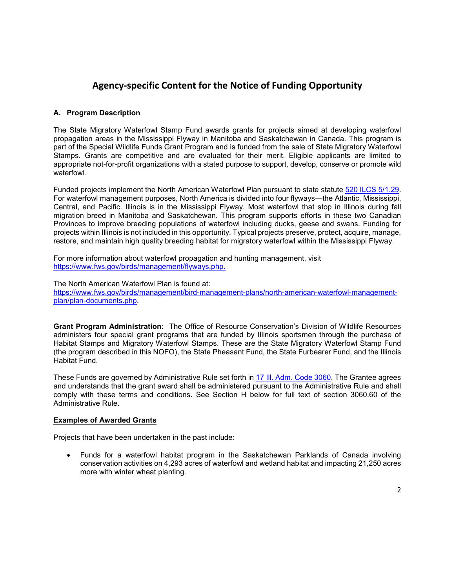# **Agency-specific Content for the Notice of Funding Opportunity**

## **A. Program Description**

The State Migratory Waterfowl Stamp Fund awards grants for projects aimed at developing waterfowl propagation areas in the Mississippi Flyway in Manitoba and Saskatchewan in Canada. This program is part of the Special Wildlife Funds Grant Program and is funded from the sale of State Migratory Waterfowl Stamps. Grants are competitive and are evaluated for their merit. Eligible applicants are limited to appropriate not-for-profit organizations with a stated purpose to support, develop, conserve or promote wild waterfowl.

Funded projects implement the North American Waterfowl Plan pursuant to state statute 520 ILCS 5/1.29. For waterfowl management purposes, North America is divided into four flyways—the Atlantic, Mississippi, Central, and Pacific. Illinois is in the Mississippi Flyway. Most waterfowl that stop in Illinois during fall migration breed in Manitoba and Saskatchewan. This program supports efforts in these two Canadian Provinces to improve breeding populations of waterfowl including ducks, geese and swans. Funding for projects within Illinois is not included in this opportunity. Typical projects preserve, protect, acquire, manage, restore, and maintain high quality breeding habitat for migratory waterfowl within the Mississippi Flyway.

For more information about waterfowl propagation and hunting management, visit https://www.fws.gov/birds/management/flyways.php.

The North American Waterfowl Plan is found at:

https://www.fws.gov/birds/management/bird-management-plans/north-american-waterfowl-managementplan/plan-documents.php.

**Grant Program Administration:** The Office of Resource Conservation's Division of Wildlife Resources administers four special grant programs that are funded by Illinois sportsmen through the purchase of Habitat Stamps and Migratory Waterfowl Stamps. These are the State Migratory Waterfowl Stamp Fund (the program described in this NOFO), the State Pheasant Fund, the State Furbearer Fund, and the Illinois Habitat Fund.

These Funds are governed by Administrative Rule set forth in 17 Ill. Adm. Code 3060. The Grantee agrees and understands that the grant award shall be administered pursuant to the Administrative Rule and shall comply with these terms and conditions. See Section H below for full text of section 3060.60 of the Administrative Rule.

#### **Examples of Awarded Grants**

Projects that have been undertaken in the past include:

• Funds for a waterfowl habitat program in the Saskatchewan Parklands of Canada involving conservation activities on 4,293 acres of waterfowl and wetland habitat and impacting 21,250 acres more with winter wheat planting.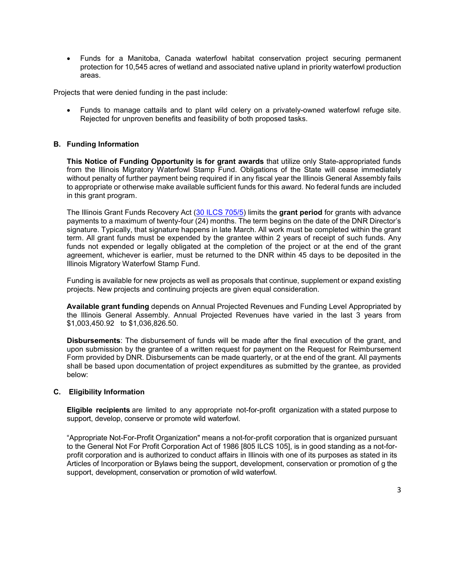• Funds for a Manitoba, Canada waterfowl habitat conservation project securing permanent protection for 10,545 acres of wetland and associated native upland in priority waterfowl production areas.

Projects that were denied funding in the past include:

• Funds to manage cattails and to plant wild celery on a privately-owned waterfowl refuge site. Rejected for unproven benefits and feasibility of both proposed tasks.

#### **B. Funding Information**

**This Notice of Funding Opportunity is for grant awards** that utilize only State-appropriated funds from the Illinois Migratory Waterfowl Stamp Fund. Obligations of the State will cease immediately without penalty of further payment being required if in any fiscal year the Illinois General Assembly fails to appropriate or otherwise make available sufficient funds for this award. No federal funds are included in this grant program.

The Illinois Grant Funds Recovery Act (30 ILCS 705/5) limits the **grant period** for grants with advance payments to a maximum of twenty-four (24) months. The term begins on the date of the DNR Director's signature. Typically, that signature happens in late March. All work must be completed within the grant term. All grant funds must be expended by the grantee within 2 years of receipt of such funds. Any funds not expended or legally obligated at the completion of the project or at the end of the grant agreement, whichever is earlier, must be returned to the DNR within 45 days to be deposited in the Illinois Migratory Waterfowl Stamp Fund.

Funding is available for new projects as well as proposals that continue, supplement or expand existing projects. New projects and continuing projects are given equal consideration.

**Available grant funding** depends on Annual Projected Revenues and Funding Level Appropriated by the Illinois General Assembly. Annual Projected Revenues have varied in the last 3 years from \$1,003,450.92 to \$1,036,826.50.

**Disbursements**: The disbursement of funds will be made after the final execution of the grant, and upon submission by the grantee of a written request for payment on the Request for Reimbursement Form provided by DNR. Disbursements can be made quarterly, or at the end of the grant. All payments shall be based upon documentation of project expenditures as submitted by the grantee, as provided below:

#### **C. Eligibility Information**

**Eligible recipients** are limited to any appropriate not-for-profit organization with a stated purpose to support, develop, conserve or promote wild waterfowl.

"Appropriate Not-For-Profit Organization" means a not-for-profit corporation that is organized pursuant to the General Not For Profit Corporation Act of 1986 [805 ILCS 105], is in good standing as a not-forprofit corporation and is authorized to conduct affairs in Illinois with one of its purposes as stated in its Articles of Incorporation or Bylaws being the support, development, conservation or promotion of g the support, development, conservation or promotion of wild waterfowl.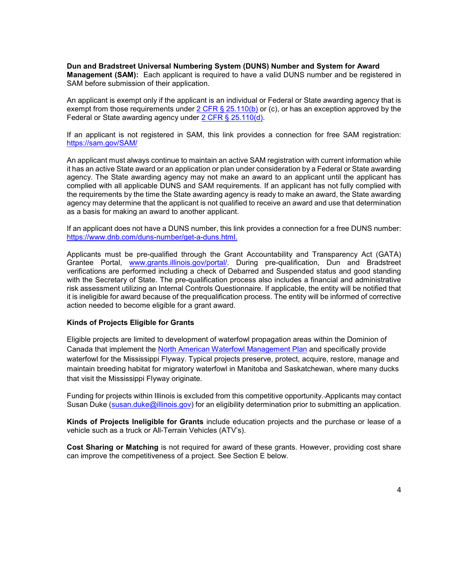**Dun and Bradstreet Universal Numbering System (DUNS) Number and System for Award Management (SAM):** Each applicant is required to have a valid DUNS number and be registered in SAM before submission of their application.

An applicant is exempt only if the applicant is an individual or Federal or State awarding agency that is exempt from those requirements under  $2$  CFR § 25.110(b) or (c), or has an exception approved by the Federal or State awarding agency under 2 CFR § 25.110(d).

If an applicant is not registered in SAM, this link provides a connection for free SAM registration: https://sam.gov/SAM/

An applicant must always continue to maintain an active SAM registration with current information while it has an active State award or an application or plan under consideration by a Federal or State awarding agency. The State awarding agency may not make an award to an applicant until the applicant has complied with all applicable DUNS and SAM requirements. If an applicant has not fully complied with the requirements by the time the State awarding agency is ready to make an award, the State awarding agency may determine that the applicant is not qualified to receive an award and use that determination as a basis for making an award to another applicant.

If an applicant does not have a DUNS number, this link provides a connection for a free DUNS number: https://www.dnb.com/duns-number/get-a-duns.html.

Applicants must be pre-qualified through the Grant Accountability and Transparency Act (GATA) Grantee Portal, www.grants.illinois.gov/portal/. During pre-qualification, Dun and Bradstreet verifications are performed including a check of Debarred and Suspended status and good standing with the Secretary of State. The pre-qualification process also includes a financial and administrative risk assessment utilizing an Internal Controls Questionnaire. If applicable, the entity will be notified that it is ineligible for award because of the prequalification process. The entity will be informed of corrective action needed to become eligible for a grant award.

#### **Kinds of Projects Eligible for Grants**

Eligible projects are limited to development of waterfowl propagation areas within the Dominion of Canada that implement the North American Waterfowl Management Plan and specifically provide waterfowl for the Mississippi Flyway. Typical projects preserve, protect, acquire, restore, manage and maintain breeding habitat for migratory waterfowl in Manitoba and Saskatchewan, where many ducks that visit the Mississippi Flyway originate.

Funding for projects within Illinois is excluded from this competitive opportunity. Applicants may contact Susan Duke (susan.duke@illinois.gov) for an eligibility determination prior to submitting an application.

**Kinds of Projects Ineligible for Grants** include education projects and the purchase or lease of a vehicle such as a truck or All-Terrain Vehicles (ATV's).

**Cost Sharing or Matching** is not required for award of these grants. However, providing cost share can improve the competitiveness of a project. See Section E below.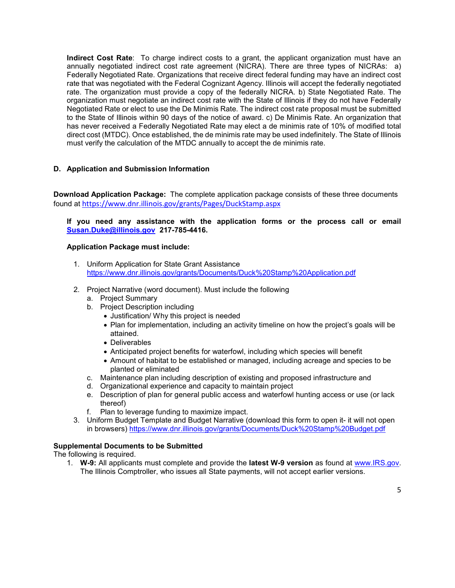**Indirect Cost Rate**: To charge indirect costs to a grant, the applicant organization must have an annually negotiated indirect cost rate agreement (NICRA). There are three types of NICRAs: a) Federally Negotiated Rate. Organizations that receive direct federal funding may have an indirect cost rate that was negotiated with the Federal Cognizant Agency. Illinois will accept the federally negotiated rate. The organization must provide a copy of the federally NICRA. b) State Negotiated Rate. The organization must negotiate an indirect cost rate with the State of Illinois if they do not have Federally Negotiated Rate or elect to use the De Minimis Rate. The indirect cost rate proposal must be submitted to the State of Illinois within 90 days of the notice of award. c) De Minimis Rate. An organization that has never received a Federally Negotiated Rate may elect a de minimis rate of 10% of modified total direct cost (MTDC). Once established, the de minimis rate may be used indefinitely. The State of Illinois must verify the calculation of the MTDC annually to accept the de minimis rate.

## **D. Application and Submission Information**

**Download Application Package:** The complete application package consists of these three documents found at https://www.dnr.illinois.gov/grants/Pages/DuckStamp.aspx

## **If you need any assistance with the application forms or the process call or email Susan.Duke@illinois.gov 217-785-4416.**

### **Application Package must include:**

- 1. Uniform Application for State Grant Assistance https://www.dnr.illinois.gov/grants/Documents/Duck%20Stamp%20Application.pdf
- 2. Project Narrative (word document). Must include the following
	- a. Project Summary
	- b. Project Description including
		- Justification/ Why this project is needed
		- Plan for implementation, including an activity timeline on how the project's goals will be attained.
		- Deliverables
		- Anticipated project benefits for waterfowl, including which species will benefit
		- Amount of habitat to be established or managed, including acreage and species to be planted or eliminated
	- c. Maintenance plan including description of existing and proposed infrastructure and
	- d. Organizational experience and capacity to maintain project
	- e. Description of plan for general public access and waterfowl hunting access or use (or lack thereof)
	- f. Plan to leverage funding to maximize impact.
- 3. Uniform Budget Template and Budget Narrative (download this form to open it- it will not open in browsers) https://www.dnr.illinois.gov/grants/Documents/Duck%20Stamp%20Budget.pdf

## **Supplemental Documents to be Submitted**

The following is required.

1. **W-9:** All applicants must complete and provide the **latest W-9 version** as found at www.IRS.gov. The Illinois Comptroller, who issues all State payments, will not accept earlier versions.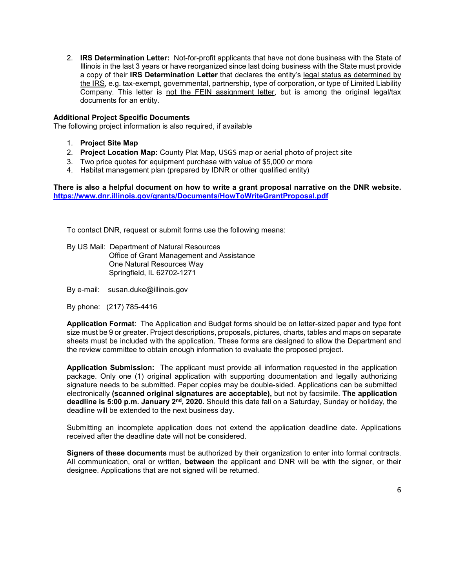2. **IRS Determination Letter:** Not-for-profit applicants that have not done business with the State of Illinois in the last 3 years or have reorganized since last doing business with the State must provide a copy of their **IRS Determination Letter** that declares the entity's legal status as determined by the IRS, e.g. tax-exempt, governmental, partnership, type of corporation, or type of Limited Liability Company. This letter is not the FEIN assignment letter, but is among the original legal/tax documents for an entity.

### **Additional Project Specific Documents**

The following project information is also required, if available

- 1. **Project Site Map**
- 2. **Project Location Map:** County Plat Map, USGS map or aerial photo of project site
- 3. Two price quotes for equipment purchase with value of \$5,000 or more
- 4. Habitat management plan (prepared by IDNR or other qualified entity)

**There is also a helpful document on how to write a grant proposal narrative on the DNR website. https://www.dnr.illinois.gov/grants/Documents/HowToWriteGrantProposal.pdf**

To contact DNR, request or submit forms use the following means:

By US Mail: Department of Natural Resources Office of Grant Management and Assistance One Natural Resources Way Springfield, IL 62702-1271

By e-mail: susan.duke@illinois.gov

By phone: (217) 785-4416

**Application Format**: The Application and Budget forms should be on letter-sized paper and type font size must be 9 or greater. Project descriptions, proposals, pictures, charts, tables and maps on separate sheets must be included with the application. These forms are designed to allow the Department and the review committee to obtain enough information to evaluate the proposed project.

**Application Submission:** The applicant must provide all information requested in the application package. Only one (1) original application with supporting documentation and legally authorizing signature needs to be submitted. Paper copies may be double-sided. Applications can be submitted electronically **(scanned original signatures are acceptable),** but not by facsimile. **The application deadline is 5:00 p.m. January 2nd, 2020.** Should this date fall on a Saturday, Sunday or holiday, the deadline will be extended to the next business day.

Submitting an incomplete application does not extend the application deadline date. Applications received after the deadline date will not be considered.

**Signers of these documents** must be authorized by their organization to enter into formal contracts. All communication, oral or written, **between** the applicant and DNR will be with the signer, or their designee. Applications that are not signed will be returned.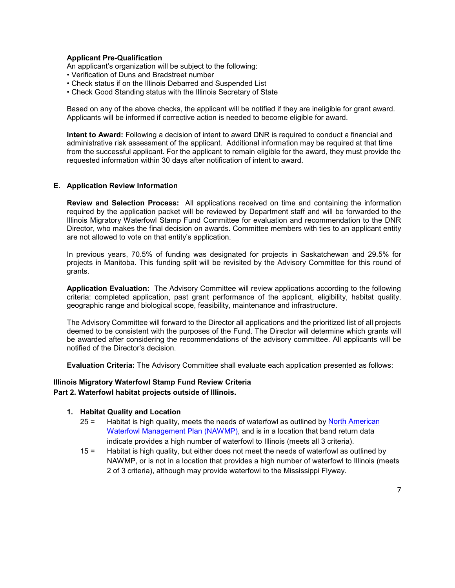### **Applicant Pre-Qualification**

An applicant's organization will be subject to the following:

- Verification of Duns and Bradstreet number
- Check status if on the Illinois Debarred and Suspended List
- Check Good Standing status with the Illinois Secretary of State

Based on any of the above checks, the applicant will be notified if they are ineligible for grant award. Applicants will be informed if corrective action is needed to become eligible for award.

**Intent to Award:** Following a decision of intent to award DNR is required to conduct a financial and administrative risk assessment of the applicant. Additional information may be required at that time from the successful applicant. For the applicant to remain eligible for the award, they must provide the requested information within 30 days after notification of intent to award.

#### **E. Application Review Information**

**Review and Selection Process:** All applications received on time and containing the information required by the application packet will be reviewed by Department staff and will be forwarded to the Illinois Migratory Waterfowl Stamp Fund Committee for evaluation and recommendation to the DNR Director, who makes the final decision on awards. Committee members with ties to an applicant entity are not allowed to vote on that entity's application.

In previous years, 70.5% of funding was designated for projects in Saskatchewan and 29.5% for projects in Manitoba. This funding split will be revisited by the Advisory Committee for this round of grants.

**Application Evaluation:** The Advisory Committee will review applications according to the following criteria: completed application, past grant performance of the applicant, eligibility, habitat quality, geographic range and biological scope, feasibility, maintenance and infrastructure.

The Advisory Committee will forward to the Director all applications and the prioritized list of all projects deemed to be consistent with the purposes of the Fund. The Director will determine which grants will be awarded after considering the recommendations of the advisory committee. All applicants will be notified of the Director's decision.

**Evaluation Criteria:** The Advisory Committee shall evaluate each application presented as follows:

#### **Illinois Migratory Waterfowl Stamp Fund Review Criteria Part 2. Waterfowl habitat projects outside of Illinois.**

#### **1. Habitat Quality and Location**

- 25 = Habitat is high quality, meets the needs of waterfowl as outlined by North American Waterfowl Management Plan (NAWMP), and is in a location that band return data indicate provides a high number of waterfowl to Illinois (meets all 3 criteria).
- 15 = Habitat is high quality, but either does not meet the needs of waterfowl as outlined by NAWMP, or is not in a location that provides a high number of waterfowl to Illinois (meets 2 of 3 criteria), although may provide waterfowl to the Mississippi Flyway.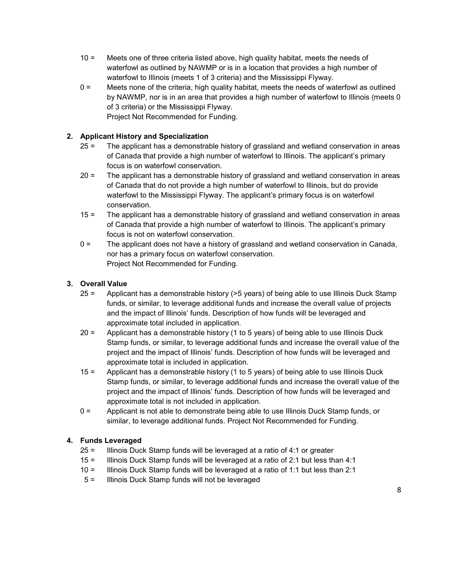- 10 = Meets one of three criteria listed above, high quality habitat, meets the needs of waterfowl as outlined by NAWMP or is in a location that provides a high number of waterfowl to Illinois (meets 1 of 3 criteria) and the Mississippi Flyway.
- 0 = Meets none of the criteria, high quality habitat, meets the needs of waterfowl as outlined by NAWMP, nor is in an area that provides a high number of waterfowl to Illinois (meets 0 of 3 criteria) or the Mississippi Flyway. Project Not Recommended for Funding.

# **2. Applicant History and Specialization**

- 25 = The applicant has a demonstrable history of grassland and wetland conservation in areas of Canada that provide a high number of waterfowl to Illinois. The applicant's primary focus is on waterfowl conservation.
- 20 = The applicant has a demonstrable history of grassland and wetland conservation in areas of Canada that do not provide a high number of waterfowl to Illinois, but do provide waterfowl to the Mississippi Flyway. The applicant's primary focus is on waterfowl conservation.
- 15 = The applicant has a demonstrable history of grassland and wetland conservation in areas of Canada that provide a high number of waterfowl to Illinois. The applicant's primary focus is not on waterfowl conservation.
- 0 = The applicant does not have a history of grassland and wetland conservation in Canada, nor has a primary focus on waterfowl conservation. Project Not Recommended for Funding.

## **3. Overall Value**

- 25 = Applicant has a demonstrable history (>5 years) of being able to use Illinois Duck Stamp funds, or similar, to leverage additional funds and increase the overall value of projects and the impact of Illinois' funds. Description of how funds will be leveraged and approximate total included in application.
- 20 = Applicant has a demonstrable history (1 to 5 years) of being able to use Illinois Duck Stamp funds, or similar, to leverage additional funds and increase the overall value of the project and the impact of Illinois' funds. Description of how funds will be leveraged and approximate total is included in application.
- 15 = Applicant has a demonstrable history (1 to 5 years) of being able to use Illinois Duck Stamp funds, or similar, to leverage additional funds and increase the overall value of the project and the impact of Illinois' funds. Description of how funds will be leveraged and approximate total is not included in application.
- 0 = Applicant is not able to demonstrate being able to use Illinois Duck Stamp funds, or similar, to leverage additional funds. Project Not Recommended for Funding.

## **4. Funds Leveraged**

- 25 = Illinois Duck Stamp funds will be leveraged at a ratio of 4:1 or greater
- 15 = Illinois Duck Stamp funds will be leveraged at a ratio of 2:1 but less than 4:1
- 10 = Illinois Duck Stamp funds will be leveraged at a ratio of 1:1 but less than 2:1
- 5 = Illinois Duck Stamp funds will not be leveraged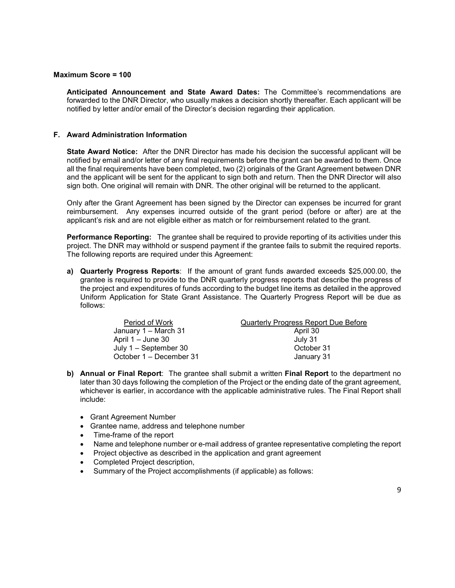#### **Maximum Score = 100**

**Anticipated Announcement and State Award Dates:** The Committee's recommendations are forwarded to the DNR Director, who usually makes a decision shortly thereafter. Each applicant will be notified by letter and/or email of the Director's decision regarding their application.

#### **F. Award Administration Information**

**State Award Notice:** After the DNR Director has made his decision the successful applicant will be notified by email and/or letter of any final requirements before the grant can be awarded to them. Once all the final requirements have been completed, two (2) originals of the Grant Agreement between DNR and the applicant will be sent for the applicant to sign both and return. Then the DNR Director will also sign both. One original will remain with DNR. The other original will be returned to the applicant.

Only after the Grant Agreement has been signed by the Director can expenses be incurred for grant reimbursement. Any expenses incurred outside of the grant period (before or after) are at the applicant's risk and are not eligible either as match or for reimbursement related to the grant.

**Performance Reporting:** The grantee shall be required to provide reporting of its activities under this project. The DNR may withhold or suspend payment if the grantee fails to submit the required reports. The following reports are required under this Agreement:

**a) Quarterly Progress Reports**: If the amount of grant funds awarded exceeds \$25,000.00, the grantee is required to provide to the DNR quarterly progress reports that describe the progress of the project and expenditures of funds according to the budget line items as detailed in the approved Uniform Application for State Grant Assistance. The Quarterly Progress Report will be due as follows:

| Period of Work          | <b>Quarterly Progress Report Due Before</b> |
|-------------------------|---------------------------------------------|
| January 1 – March 31    | April 30                                    |
| April $1 -$ June 30     | July 31                                     |
| July 1 – September 30   | October 31                                  |
| October 1 – December 31 | January 31                                  |
|                         |                                             |

- **b) Annual or Final Report**: The grantee shall submit a written **Final Report** to the department no later than 30 days following the completion of the Project or the ending date of the grant agreement, whichever is earlier, in accordance with the applicable administrative rules. The Final Report shall include:
	- Grant Agreement Number
	- Grantee name, address and telephone number
	- Time-frame of the report
	- Name and telephone number or e-mail address of grantee representative completing the report
	- Project objective as described in the application and grant agreement
	- Completed Project description,
	- Summary of the Project accomplishments (if applicable) as follows: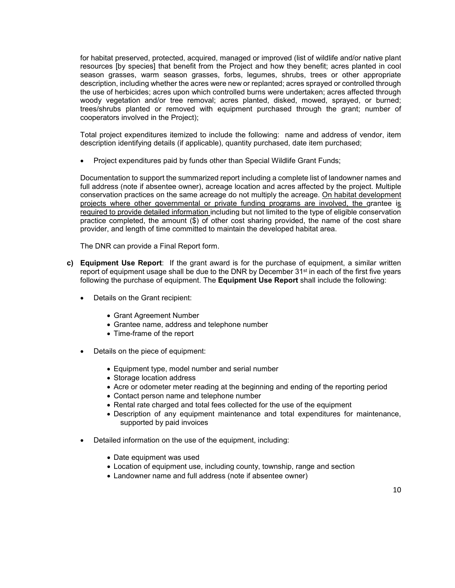for habitat preserved, protected, acquired, managed or improved (list of wildlife and/or native plant resources [by species] that benefit from the Project and how they benefit; acres planted in cool season grasses, warm season grasses, forbs, legumes, shrubs, trees or other appropriate description, including whether the acres were new or replanted; acres sprayed or controlled through the use of herbicides; acres upon which controlled burns were undertaken; acres affected through woody vegetation and/or tree removal; acres planted, disked, mowed, sprayed, or burned; trees/shrubs planted or removed with equipment purchased through the grant; number of cooperators involved in the Project);

Total project expenditures itemized to include the following: name and address of vendor, item description identifying details (if applicable), quantity purchased, date item purchased;

• Project expenditures paid by funds other than Special Wildlife Grant Funds;

Documentation to support the summarized report including a complete list of landowner names and full address (note if absentee owner), acreage location and acres affected by the project. Multiple conservation practices on the same acreage do not multiply the acreage. On habitat development projects where other governmental or private funding programs are involved, the grantee is required to provide detailed information including but not limited to the type of eligible conservation practice completed, the amount (\$) of other cost sharing provided, the name of the cost share provider, and length of time committed to maintain the developed habitat area.

The DNR can provide a Final Report form.

- **c) Equipment Use Report**: If the grant award is for the purchase of equipment, a similar written report of equipment usage shall be due to the DNR by December 31<sup>st</sup> in each of the first five years following the purchase of equipment. The **Equipment Use Report** shall include the following:
	- Details on the Grant recipient:
		- Grant Agreement Number
		- Grantee name, address and telephone number
		- Time-frame of the report
	- Details on the piece of equipment:
		- Equipment type, model number and serial number
		- Storage location address
		- Acre or odometer meter reading at the beginning and ending of the reporting period
		- Contact person name and telephone number
		- Rental rate charged and total fees collected for the use of the equipment
		- Description of any equipment maintenance and total expenditures for maintenance, supported by paid invoices
	- Detailed information on the use of the equipment, including:
		- Date equipment was used
		- Location of equipment use, including county, township, range and section
		- Landowner name and full address (note if absentee owner)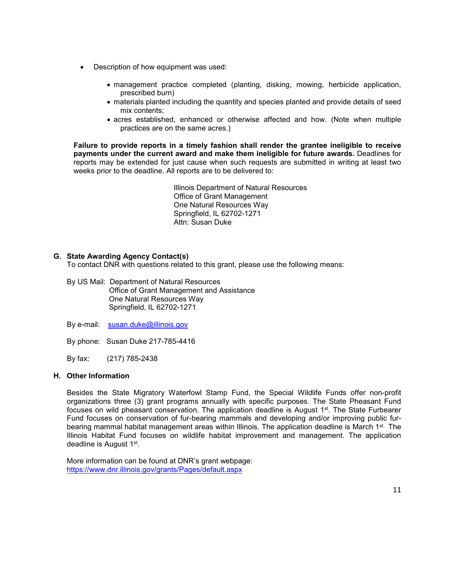- Description of how equipment was used:
	- management practice completed (planting, disking, mowing, herbicide application, prescribed burn)
	- materials planted including the quantity and species planted and provide details of seed mix contents;
	- acres established, enhanced or otherwise affected and how. (Note when multiple practices are on the same acres.)

**Failure to provide reports in a timely fashion shall render the grantee ineligible to receive payments under the current award and make them ineligible for future awards.** Deadlines for reports may be extended for just cause when such requests are submitted in writing at least two weeks prior to the deadline. All reports are to be delivered to:

> Illinois Department of Natural Resources Office of Grant Management One Natural Resources Way Springfield, IL 62702-1271 Attn: Susan Duke

## **G. State Awarding Agency Contact(s)**

To contact DNR with questions related to this grant, please use the following means:

By US Mail: Department of Natural Resources Office of Grant Management and Assistance One Natural Resources Way Springfield, IL 62702-1271

By e-mail: susan.duke@illinois.gov

By phone: Susan Duke 217-785-4416

By fax: (217) 785-2438

## **H. Other Information**

Besides the State Migratory Waterfowl Stamp Fund, the Special Wildlife Funds offer non-profit organizations three (3) grant programs annually with specific purposes. The State Pheasant Fund focuses on wild pheasant conservation. The application deadline is August 1st. The State Furbearer Fund focuses on conservation of fur-bearing mammals and developing and/or improving public furbearing mammal habitat management areas within Illinois. The application deadline is March 1<sup>st.</sup> The Illinois Habitat Fund focuses on wildlife habitat improvement and management. The application deadline is August 1st.

More information can be found at DNR's grant webpage: https://www.dnr.illinois.gov/grants/Pages/default.aspx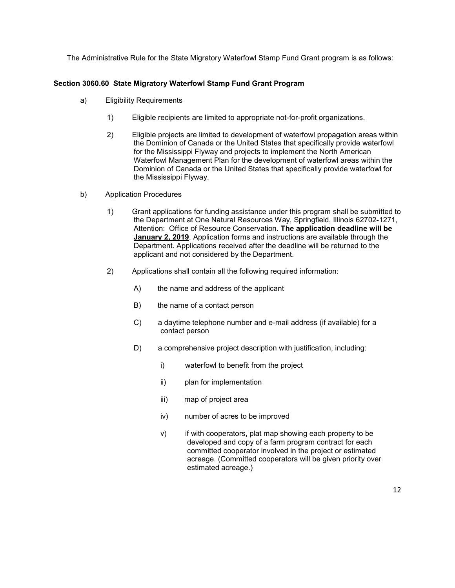The Administrative Rule for the State Migratory Waterfowl Stamp Fund Grant program is as follows:

## **Section 3060.60 State Migratory Waterfowl Stamp Fund Grant Program**

- a) Eligibility Requirements
	- 1) Eligible recipients are limited to appropriate not-for-profit organizations.
	- 2) Eligible projects are limited to development of waterfowl propagation areas within the Dominion of Canada or the United States that specifically provide waterfowl for the Mississippi Flyway and projects to implement the North American Waterfowl Management Plan for the development of waterfowl areas within the Dominion of Canada or the United States that specifically provide waterfowl for the Mississippi Flyway.
- b) Application Procedures
	- 1) Grant applications for funding assistance under this program shall be submitted to the Department at One Natural Resources Way, Springfield, Illinois 62702-1271, Attention: Office of Resource Conservation. **The application deadline will be January 2, 2019**. Application forms and instructions are available through the Department. Applications received after the deadline will be returned to the applicant and not considered by the Department.
	- 2) Applications shall contain all the following required information:
		- A) the name and address of the applicant
		- B) the name of a contact person
		- C) a daytime telephone number and e-mail address (if available) for a contact person
		- D) a comprehensive project description with justification, including:
			- i) waterfowl to benefit from the project
			- ii) plan for implementation
			- iii) map of project area
			- iv) number of acres to be improved
			- v) if with cooperators, plat map showing each property to be developed and copy of a farm program contract for each committed cooperator involved in the project or estimated acreage. (Committed cooperators will be given priority over estimated acreage.)